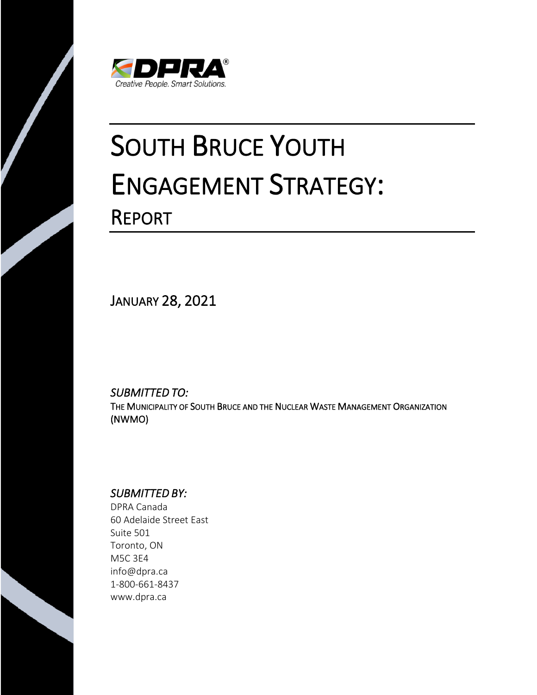

# SOUTH BRUCE YOUTH ENGAGEMENT STRATEGY: REPORT

JANUARY 28, 2021

*SUBMITTED TO:* THE MUNICIPALITY OF SOUTH BRUCE AND THE NUCLEAR WASTE MANAGEMENT ORGANIZATION (NWMO)

# *SUBMITTED BY:*

DPRA Canada 60 Adelaide Street East Suite 501 Toronto, ON M5C 3E4 info@dpra.ca 1-800-661-8437 www.dpra.ca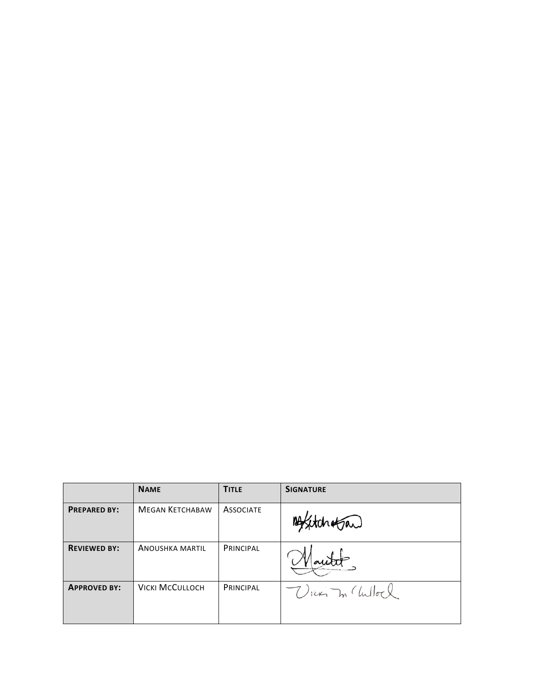|                     | <b>NAME</b>            | <b>TITLE</b>     | <b>SIGNATURE</b>  |
|---------------------|------------------------|------------------|-------------------|
| <b>PREPARED BY:</b> | <b>MEGAN KETCHABAW</b> | <b>ASSOCIATE</b> | 14 Statchetan     |
| <b>REVIEWED BY:</b> | <b>ANOUSHKA MARTIL</b> | <b>PRINCIPAL</b> |                   |
| <b>APPROVED BY:</b> | <b>VICKI MCCULLOCH</b> | <b>PRINCIPAL</b> | VICKY In Chilloch |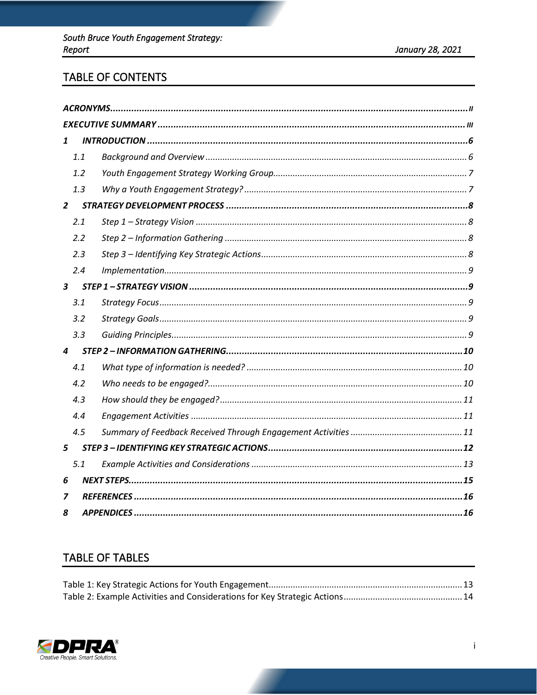# TABLE OF CONTENTS

| 1                       |     |  |  |  |  |
|-------------------------|-----|--|--|--|--|
|                         | 1.1 |  |  |  |  |
|                         | 1.2 |  |  |  |  |
|                         | 1.3 |  |  |  |  |
| $\overline{2}$          |     |  |  |  |  |
|                         | 2.1 |  |  |  |  |
|                         | 2.2 |  |  |  |  |
|                         | 2.3 |  |  |  |  |
|                         | 2.4 |  |  |  |  |
| $\overline{\mathbf{3}}$ |     |  |  |  |  |
|                         | 3.1 |  |  |  |  |
|                         | 3.2 |  |  |  |  |
|                         | 3.3 |  |  |  |  |
| $\boldsymbol{4}$        |     |  |  |  |  |
|                         | 4.1 |  |  |  |  |
|                         | 4.2 |  |  |  |  |
|                         | 4.3 |  |  |  |  |
|                         | 4.4 |  |  |  |  |
|                         | 4.5 |  |  |  |  |
| 5                       |     |  |  |  |  |
|                         | 5.1 |  |  |  |  |
| 6                       |     |  |  |  |  |
| 7                       |     |  |  |  |  |
| 8                       |     |  |  |  |  |

# **TABLE OF TABLES**

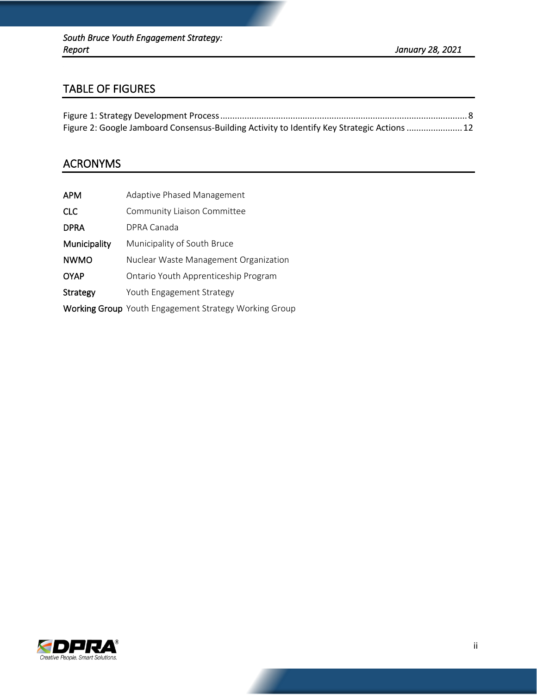# TABLE OF FIGURES

| Figure 2: Google Jamboard Consensus-Building Activity to Identify Key Strategic Actions  12 |  |
|---------------------------------------------------------------------------------------------|--|

# ACRONYMS

| APM          | <b>Adaptive Phased Management</b>                            |
|--------------|--------------------------------------------------------------|
| <b>CLC</b>   | Community Liaison Committee                                  |
| <b>DPRA</b>  | DPRA Canada                                                  |
| Municipality | Municipality of South Bruce                                  |
| <b>NWMO</b>  | Nuclear Waste Management Organization                        |
| <b>OYAP</b>  | Ontario Youth Apprenticeship Program                         |
| Strategy     | Youth Engagement Strategy                                    |
|              | <b>Working Group</b> Youth Engagement Strategy Working Group |

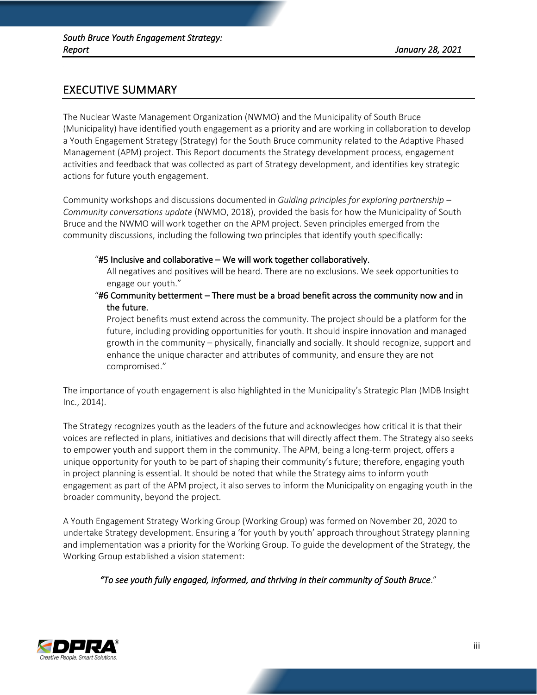# EXECUTIVE SUMMARY

The Nuclear Waste Management Organization (NWMO) and the Municipality of South Bruce (Municipality) have identified youth engagement as a priority and are working in collaboration to develop a Youth Engagement Strategy (Strategy) for the South Bruce community related to the Adaptive Phased Management (APM) project. This Report documents the Strategy development process, engagement activities and feedback that was collected as part of Strategy development, and identifies key strategic actions for future youth engagement.

Community workshops and discussions documented in *Guiding principles for exploring partnership – Community conversations update* (NWMO, 2018), provided the basis for how the Municipality of South Bruce and the NWMO will work together on the APM project. Seven principles emerged from the community discussions, including the following two principles that identify youth specifically:

#### "#5 Inclusive and collaborative – We will work together collaboratively.

All negatives and positives will be heard. There are no exclusions. We seek opportunities to engage our youth."

#### "#6 Community betterment – There must be a broad benefit across the community now and in the future.

Project benefits must extend across the community. The project should be a platform for the future, including providing opportunities for youth. It should inspire innovation and managed growth in the community – physically, financially and socially. It should recognize, support and enhance the unique character and attributes of community, and ensure they are not compromised."

The importance of youth engagement is also highlighted in the Municipality's Strategic Plan (MDB Insight Inc., 2014).

The Strategy recognizes youth as the leaders of the future and acknowledges how critical it is that their voices are reflected in plans, initiatives and decisions that will directly affect them. The Strategy also seeks to empower youth and support them in the community. The APM, being a long-term project, offers a unique opportunity for youth to be part of shaping their community's future; therefore, engaging youth in project planning is essential. It should be noted that while the Strategy aims to inform youth engagement as part of the APM project, it also serves to inform the Municipality on engaging youth in the broader community, beyond the project.

A Youth Engagement Strategy Working Group (Working Group) was formed on November 20, 2020 to undertake Strategy development. Ensuring a 'for youth by youth' approach throughout Strategy planning and implementation was a priority for the Working Group. To guide the development of the Strategy, the Working Group established a vision statement:

*"To see youth fully engaged, informed, and thriving in their community of South Bruce*."

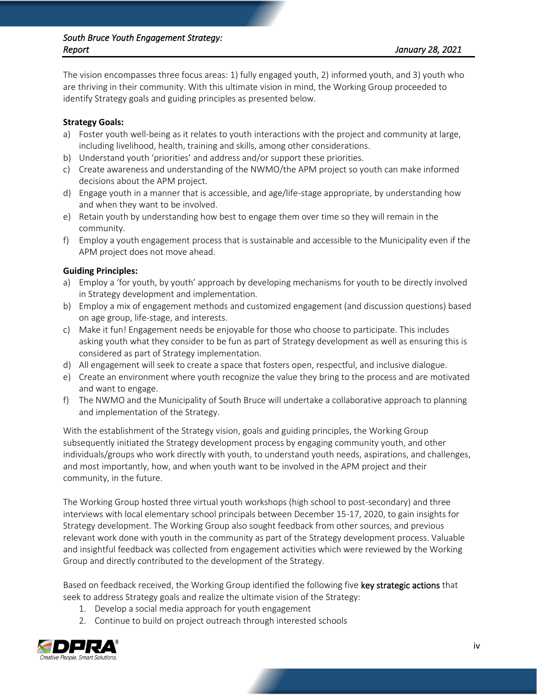#### *South Bruce Youth Engagement Strategy: Report January 28, 2021*

The vision encompasses three focus areas: 1) fully engaged youth, 2) informed youth, and 3) youth who are thriving in their community. With this ultimate vision in mind, the Working Group proceeded to identify Strategy goals and guiding principles as presented below.

#### **Strategy Goals:**

- a) Foster youth well-being as it relates to youth interactions with the project and community at large, including livelihood, health, training and skills, among other considerations.
- b) Understand youth 'priorities' and address and/or support these priorities.
- c) Create awareness and understanding of the NWMO/the APM project so youth can make informed decisions about the APM project.
- d) Engage youth in a manner that is accessible, and age/life-stage appropriate, by understanding how and when they want to be involved.
- e) Retain youth by understanding how best to engage them over time so they will remain in the community.
- f) Employ a youth engagement process that is sustainable and accessible to the Municipality even if the APM project does not move ahead.

## **Guiding Principles:**

- a) Employ a 'for youth, by youth' approach by developing mechanisms for youth to be directly involved in Strategy development and implementation.
- b) Employ a mix of engagement methods and customized engagement (and discussion questions) based on age group, life-stage, and interests.
- c) Make it fun! Engagement needs be enjoyable for those who choose to participate. This includes asking youth what they consider to be fun as part of Strategy development as well as ensuring this is considered as part of Strategy implementation.
- d) All engagement will seek to create a space that fosters open, respectful, and inclusive dialogue.
- e) Create an environment where youth recognize the value they bring to the process and are motivated and want to engage.
- f) The NWMO and the Municipality of South Bruce will undertake a collaborative approach to planning and implementation of the Strategy.

With the establishment of the Strategy vision, goals and guiding principles, the Working Group subsequently initiated the Strategy development process by engaging community youth, and other individuals/groups who work directly with youth, to understand youth needs, aspirations, and challenges, and most importantly, how, and when youth want to be involved in the APM project and their community, in the future.

The Working Group hosted three virtual youth workshops (high school to post-secondary) and three interviews with local elementary school principals between December 15-17, 2020, to gain insights for Strategy development. The Working Group also sought feedback from other sources, and previous relevant work done with youth in the community as part of the Strategy development process. Valuable and insightful feedback was collected from engagement activities which were reviewed by the Working Group and directly contributed to the development of the Strategy.

Based on feedback received, the Working Group identified the following five key strategic actions that seek to address Strategy goals and realize the ultimate vision of the Strategy:

- 1. Develop a social media approach for youth engagement
- 2. Continue to build on project outreach through interested schools

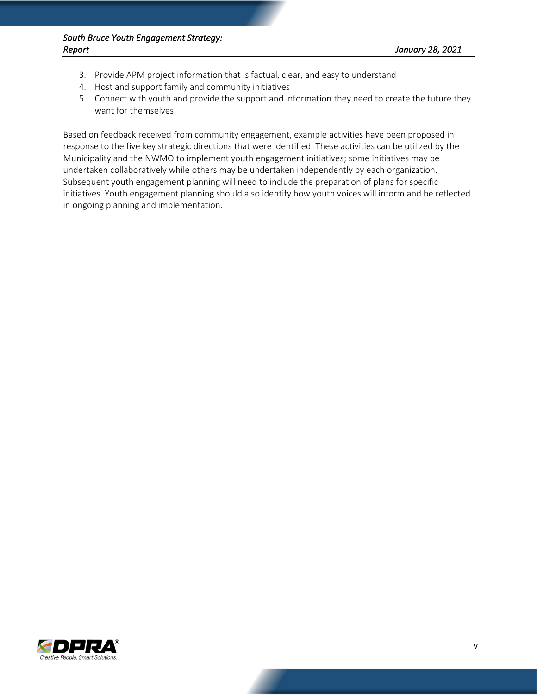- 3. Provide APM project information that is factual, clear, and easy to understand
- 4. Host and support family and community initiatives
- 5. Connect with youth and provide the support and information they need to create the future they want for themselves

Based on feedback received from community engagement, example activities have been proposed in response to the five key strategic directions that were identified. These activities can be utilized by the Municipality and the NWMO to implement youth engagement initiatives; some initiatives may be undertaken collaboratively while others may be undertaken independently by each organization. Subsequent youth engagement planning will need to include the preparation of plans for specific initiatives. Youth engagement planning should also identify how youth voices will inform and be reflected in ongoing planning and implementation.

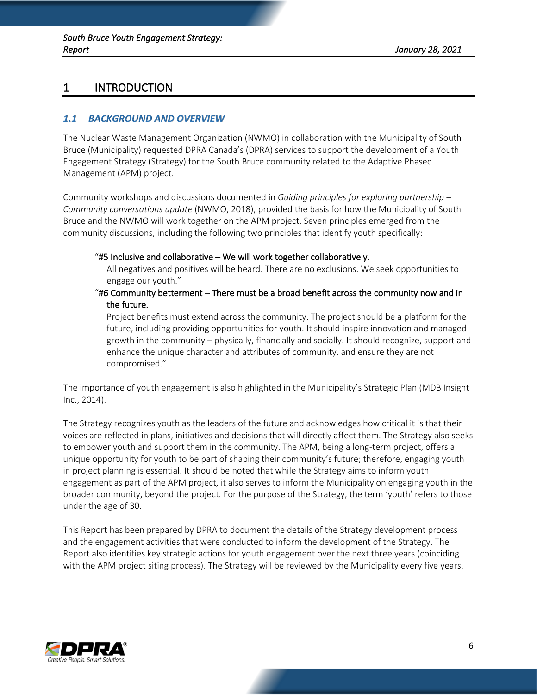# 1 INTRODUCTION

## *1.1 BACKGROUND AND OVERVIEW*

The Nuclear Waste Management Organization (NWMO) in collaboration with the Municipality of South Bruce (Municipality) requested DPRA Canada's (DPRA) services to support the development of a Youth Engagement Strategy (Strategy) for the South Bruce community related to the Adaptive Phased Management (APM) project.

Community workshops and discussions documented in *Guiding principles for exploring partnership – Community conversations update* (NWMO, 2018), provided the basis for how the Municipality of South Bruce and the NWMO will work together on the APM project. Seven principles emerged from the community discussions, including the following two principles that identify youth specifically:

#### "#5 Inclusive and collaborative – We will work together collaboratively.

All negatives and positives will be heard. There are no exclusions. We seek opportunities to engage our youth."

#### "#6 Community betterment – There must be a broad benefit across the community now and in the future.

 Project benefits must extend across the community. The project should be a platform for the future, including providing opportunities for youth. It should inspire innovation and managed growth in the community – physically, financially and socially. It should recognize, support and enhance the unique character and attributes of community, and ensure they are not compromised."

The importance of youth engagement is also highlighted in the Municipality's Strategic Plan (MDB Insight Inc., 2014).

The Strategy recognizes youth as the leaders of the future and acknowledges how critical it is that their voices are reflected in plans, initiatives and decisions that will directly affect them. The Strategy also seeks to empower youth and support them in the community. The APM, being a long-term project, offers a unique opportunity for youth to be part of shaping their community's future; therefore, engaging youth in project planning is essential. It should be noted that while the Strategy aims to inform youth engagement as part of the APM project, it also serves to inform the Municipality on engaging youth in the broader community, beyond the project. For the purpose of the Strategy, the term 'youth' refers to those under the age of 30.

This Report has been prepared by DPRA to document the details of the Strategy development process and the engagement activities that were conducted to inform the development of the Strategy. The Report also identifies key strategic actions for youth engagement over the next three years (coinciding with the APM project siting process). The Strategy will be reviewed by the Municipality every five years.

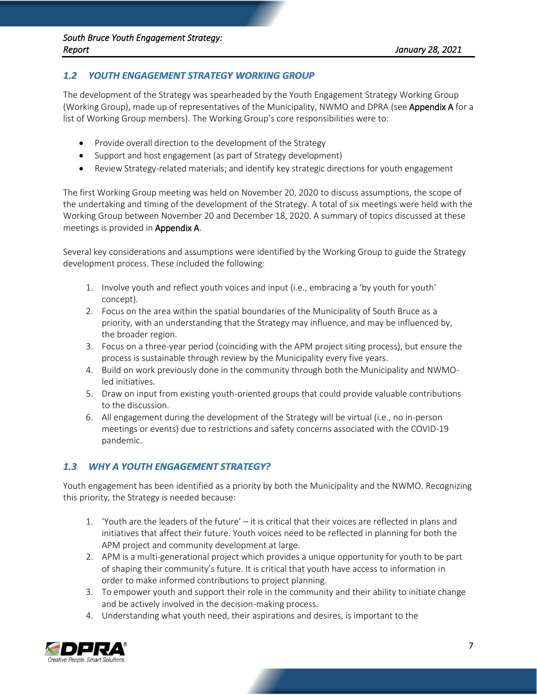# *1.2 YOUTH ENGAGEMENT STRATEGY WORKING GROUP*

The development of the Strategy was spearheaded by the Youth Engagement Strategy Working Group (Working Group), made up of representatives of the Municipality, NWMO and DPRA (see Appendix A for a list of Working Group members). The Working Group's core responsibilities were to:

- Provide overall direction to the development of the Strategy
- Support and host engagement (as part of Strategy development)
- Review Strategy-related materials; and identify key strategic directions for youth engagement

The first Working Group meeting was held on November 20, 2020 to discuss assumptions, the scope of the undertaking and timing of the development of the Strategy. A total of six meetings were held with the Working Group between November 20 and December 18, 2020. A summary of topics discussed at these meetings is provided in Appendix A.

Several key considerations and assumptions were identified by the Working Group to guide the Strategy development process. These included the following:

- 1. Involve youth and reflect youth voices and input (i.e., embracing a 'by youth for youth' concept).
- 2. Focus on the area within the spatial boundaries of the Municipality of South Bruce as a priority, with an understanding that the Strategy may influence, and may be influenced by, the broader region.
- 3. Focus on a three-year period (coinciding with the APM project siting process), but ensure the process is sustainable through review by the Municipality every five years.
- 4. Build on work previously done in the community through both the Municipality and NWMOled initiatives.
- 5. Draw on input from existing youth-oriented groups that could provide valuable contributions to the discussion.
- 6. All engagement during the development of the Strategy will be virtual (i.e., no in-person meetings or events) due to restrictions and safety concerns associated with the COVID-19 pandemic.

# *1.3 WHY A YOUTH ENGAGEMENT STRATEGY?*

Youth engagement has been identified as a priority by both the Municipality and the NWMO. Recognizing this priority, the Strategy is needed because:

- 1. 'Youth are the leaders of the future' it is critical that their voices are reflected in plans and initiatives that affect their future. Youth voices need to be reflected in planning for both the APM project and community development at large.
- 2. APM is a multi-generational project which provides a unique opportunity for youth to be part of shaping their community's future. It is critical that youth have access to information in order to make informed contributions to project planning.
- 3. To empower youth and support their role in the community and their ability to initiate change and be actively involved in the decision-making process.
- 4. Understanding what youth need, their aspirations and desires, is important to the

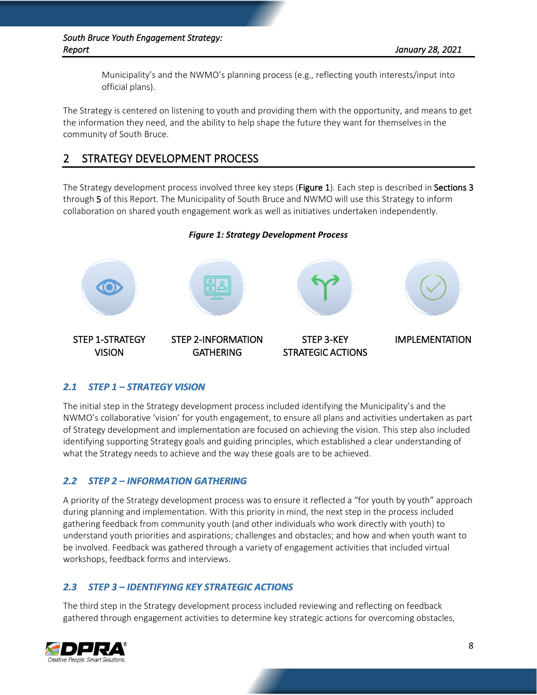Municipality's and the NWMO's planning process (e.g., reflecting youth interests/input into official plans).

The Strategy is centered on listening to youth and providing them with the opportunity, and means to get the information they need, and the ability to help shape the future they want for themselves in the community of South Bruce.

# 2 STRATEGY DEVELOPMENT PROCESS

The Strategy development process involved three key steps (Figure 1). Each step is described in Sections 3 through 5 of this Report. The Municipality of South Bruce and NWMO will use this Strategy to inform collaboration on shared youth engagement work as well as initiatives undertaken independently.

## *Figure 1: Strategy Development Process*

<span id="page-9-0"></span>

# *2.1 STEP 1 – STRATEGY VISION*

The initial step in the Strategy development process included identifying the Municipality's and the NWMO's collaborative 'vision' for youth engagement, to ensure all plans and activities undertaken as part of Strategy development and implementation are focused on achieving the vision. This step also included identifying supporting Strategy goals and guiding principles, which established a clear understanding of what the Strategy needs to achieve and the way these goals are to be achieved.

# *2.2 STEP 2 – INFORMATION GATHERING*

A priority of the Strategy development process was to ensure it reflected a "for youth by youth" approach during planning and implementation. With this priority in mind, the next step in the process included gathering feedback from community youth (and other individuals who work directly with youth) to understand youth priorities and aspirations; challenges and obstacles; and how and when youth want to be involved. Feedback was gathered through a variety of engagement activities that included virtual workshops, feedback forms and interviews.

# *2.3 STEP 3 – IDENTIFYING KEY STRATEGIC ACTIONS*

The third step in the Strategy development process included reviewing and reflecting on feedback gathered through engagement activities to determine key strategic actions for overcoming obstacles,

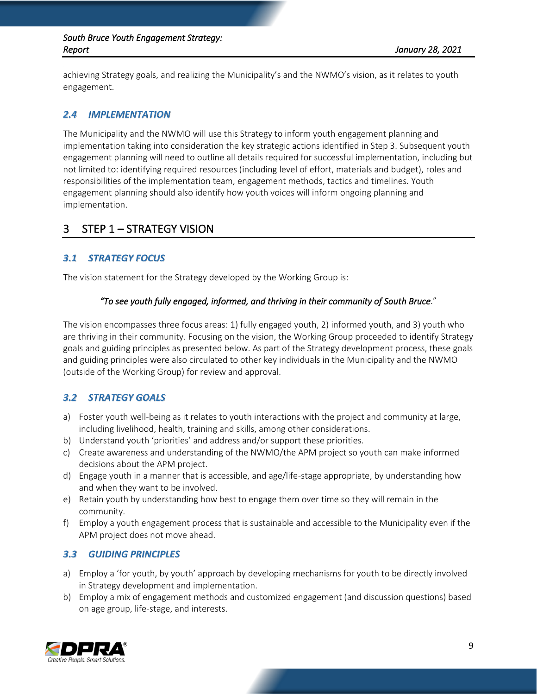#### *South Bruce Youth Engagement Strategy: Report January 28, 2021*

achieving Strategy goals, and realizing the Municipality's and the NWMO's vision, as it relates to youth engagement.

# *2.4 IMPLEMENTATION*

The Municipality and the NWMO will use this Strategy to inform youth engagement planning and implementation taking into consideration the key strategic actions identified in Step 3. Subsequent youth engagement planning will need to outline all details required for successful implementation, including but not limited to: identifying required resources (including level of effort, materials and budget), roles and responsibilities of the implementation team, engagement methods, tactics and timelines. Youth engagement planning should also identify how youth voices will inform ongoing planning and implementation.

# 3 STEP 1 – STRATEGY VISION

# *3.1 STRATEGY FOCUS*

The vision statement for the Strategy developed by the Working Group is:

## *"To see youth fully engaged, informed, and thriving in their community of South Bruce*."

The vision encompasses three focus areas: 1) fully engaged youth, 2) informed youth, and 3) youth who are thriving in their community. Focusing on the vision, the Working Group proceeded to identify Strategy goals and guiding principles as presented below. As part of the Strategy development process, these goals and guiding principles were also circulated to other key individuals in the Municipality and the NWMO (outside of the Working Group) for review and approval.

# *3.2 STRATEGY GOALS*

- a) Foster youth well-being as it relates to youth interactions with the project and community at large, including livelihood, health, training and skills, among other considerations.
- b) Understand youth 'priorities' and address and/or support these priorities.
- c) Create awareness and understanding of the NWMO/the APM project so youth can make informed decisions about the APM project.
- d) Engage youth in a manner that is accessible, and age/life-stage appropriate, by understanding how and when they want to be involved.
- e) Retain youth by understanding how best to engage them over time so they will remain in the community.
- f) Employ a youth engagement process that is sustainable and accessible to the Municipality even if the APM project does not move ahead.

# *3.3 GUIDING PRINCIPLES*

- a) Employ a 'for youth, by youth' approach by developing mechanisms for youth to be directly involved in Strategy development and implementation.
- b) Employ a mix of engagement methods and customized engagement (and discussion questions) based on age group, life-stage, and interests.

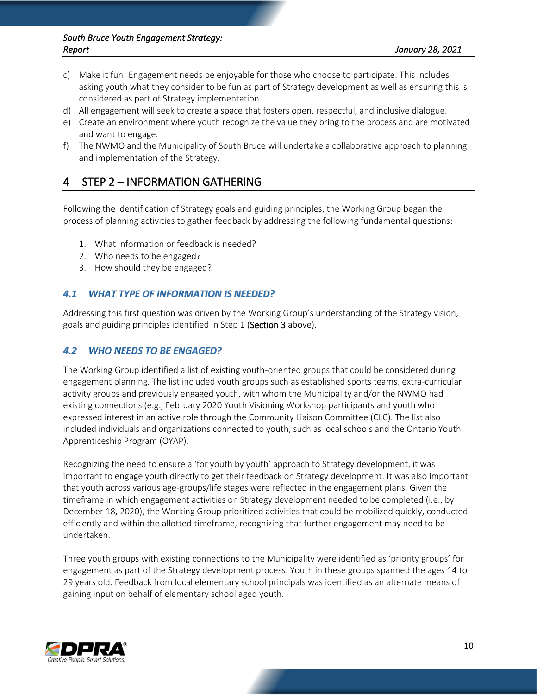- c) Make it fun! Engagement needs be enjoyable for those who choose to participate. This includes asking youth what they consider to be fun as part of Strategy development as well as ensuring this is considered as part of Strategy implementation.
- d) All engagement will seek to create a space that fosters open, respectful, and inclusive dialogue.
- e) Create an environment where youth recognize the value they bring to the process and are motivated and want to engage.
- f) The NWMO and the Municipality of South Bruce will undertake a collaborative approach to planning and implementation of the Strategy.

# 4 STEP 2 – INFORMATION GATHERING

Following the identification of Strategy goals and guiding principles, the Working Group began the process of planning activities to gather feedback by addressing the following fundamental questions:

- 1. What information or feedback is needed?
- 2. Who needs to be engaged?
- 3. How should they be engaged?

# *4.1 WHAT TYPE OF INFORMATION IS NEEDED?*

Addressing this first question was driven by the Working Group's understanding of the Strategy vision, goals and guiding principles identified in Step 1 (Section 3 above).

# *4.2 WHO NEEDS TO BE ENGAGED?*

The Working Group identified a list of existing youth-oriented groups that could be considered during engagement planning. The list included youth groups such as established sports teams, extra-curricular activity groups and previously engaged youth, with whom the Municipality and/or the NWMO had existing connections (e.g., February 2020 Youth Visioning Workshop participants and youth who expressed interest in an active role through the Community Liaison Committee (CLC). The list also included individuals and organizations connected to youth, such as local schools and the Ontario Youth Apprenticeship Program (OYAP).

Recognizing the need to ensure a 'for youth by youth' approach to Strategy development, it was important to engage youth directly to get their feedback on Strategy development. It was also important that youth across various age-groups/life stages were reflected in the engagement plans. Given the timeframe in which engagement activities on Strategy development needed to be completed (i.e., by December 18, 2020), the Working Group prioritized activities that could be mobilized quickly, conducted efficiently and within the allotted timeframe, recognizing that further engagement may need to be undertaken.

Three youth groups with existing connections to the Municipality were identified as 'priority groups' for engagement as part of the Strategy development process. Youth in these groups spanned the ages 14 to 29 years old. Feedback from local elementary school principals was identified as an alternate means of gaining input on behalf of elementary school aged youth.

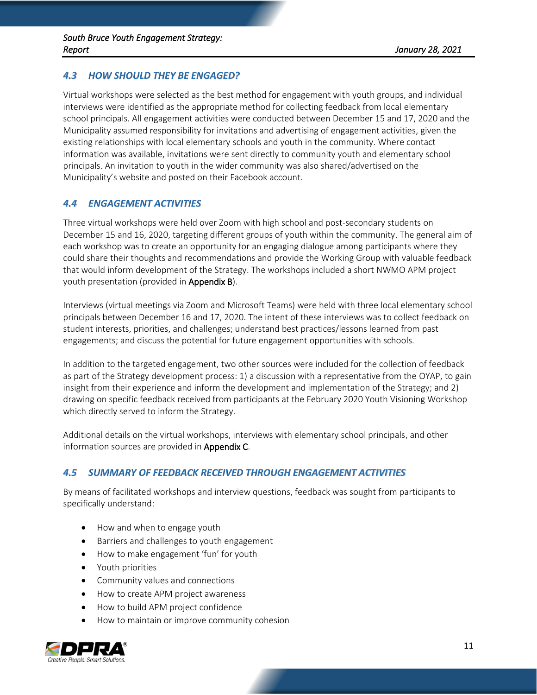# *4.3 HOW SHOULD THEY BE ENGAGED?*

Virtual workshops were selected as the best method for engagement with youth groups, and individual interviews were identified as the appropriate method for collecting feedback from local elementary school principals. All engagement activities were conducted between December 15 and 17, 2020 and the Municipality assumed responsibility for invitations and advertising of engagement activities, given the existing relationships with local elementary schools and youth in the community. Where contact information was available, invitations were sent directly to community youth and elementary school principals. An invitation to youth in the wider community was also shared/advertised on the Municipality's website and posted on their Facebook account.

## *4.4 ENGAGEMENT ACTIVITIES*

Three virtual workshops were held over Zoom with high school and post-secondary students on December 15 and 16, 2020, targeting different groups of youth within the community. The general aim of each workshop was to create an opportunity for an engaging dialogue among participants where they could share their thoughts and recommendations and provide the Working Group with valuable feedback that would inform development of the Strategy. The workshops included a short NWMO APM project youth presentation (provided in Appendix B).

Interviews (virtual meetings via Zoom and Microsoft Teams) were held with three local elementary school principals between December 16 and 17, 2020. The intent of these interviews was to collect feedback on student interests, priorities, and challenges; understand best practices/lessons learned from past engagements; and discuss the potential for future engagement opportunities with schools.

In addition to the targeted engagement, two other sources were included for the collection of feedback as part of the Strategy development process: 1) a discussion with a representative from the OYAP, to gain insight from their experience and inform the development and implementation of the Strategy; and 2) drawing on specific feedback received from participants at the February 2020 Youth Visioning Workshop which directly served to inform the Strategy.

Additional details on the virtual workshops, interviews with elementary school principals, and other information sources are provided in **Appendix C**.

#### *4.5 SUMMARY OF FEEDBACK RECEIVED THROUGH ENGAGEMENT ACTIVITIES*

By means of facilitated workshops and interview questions, feedback was sought from participants to specifically understand:

- How and when to engage youth
- Barriers and challenges to youth engagement
- How to make engagement 'fun' for youth
- Youth priorities
- Community values and connections
- How to create APM project awareness
- How to build APM project confidence
- How to maintain or improve community cohesion

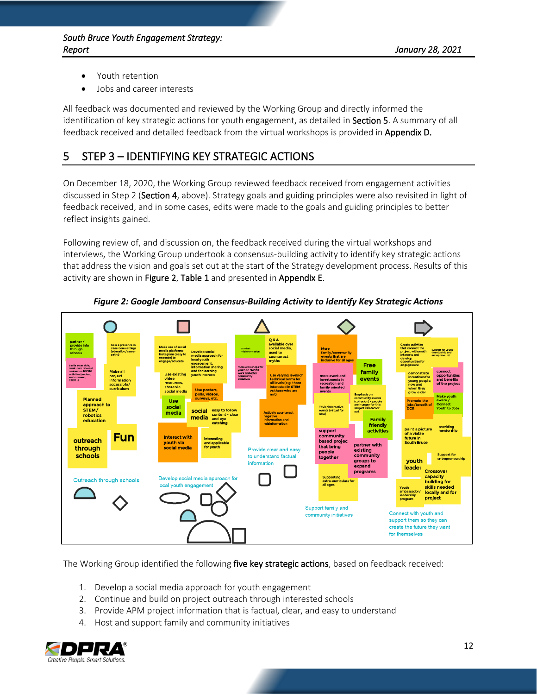- Youth retention
- Jobs and career interests

All feedback was documented and reviewed by the Working Group and directly informed the identification of key strategic actions for youth engagement, as detailed in Section 5. A summary of all feedback received and detailed feedback from the virtual workshops is provided in Appendix D.

# 5 STEP 3 – IDENTIFYING KEY STRATEGIC ACTIONS

On December 18, 2020, the Working Group reviewed feedback received from engagement activities discussed in Step 2 (Section 4, above). Strategy goals and guiding principles were also revisited in light of feedback received, and in some cases, edits were made to the goals and guiding principles to better reflect insights gained.

Following review of, and discussion on, the feedback received during the virtual workshops and interviews, the Working Group undertook a consensus-building activity to identify key strategic actions that address the vision and goals set out at the start of the Strategy development process. Results of this activity are shown in Figure 2, Table 1 and presented in Appendix E.

<span id="page-13-0"></span>

*Figure 2: Google Jamboard Consensus-Building Activity to Identify Key Strategic Actions*

The Working Group identified the following five key strategic actions, based on feedback received:

- 1. Develop a social media approach for youth engagement
- 2. Continue and build on project outreach through interested schools
- 3. Provide APM project information that is factual, clear, and easy to understand
- 4. Host and support family and community initiatives

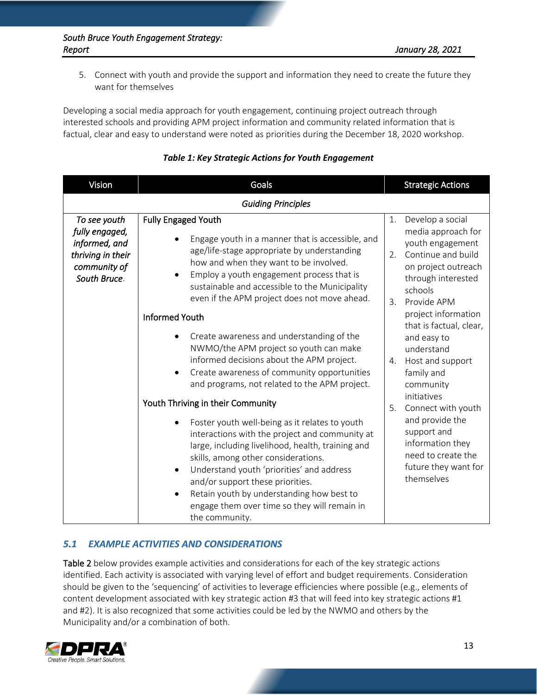5. Connect with youth and provide the support and information they need to create the future they want for themselves

Developing a social media approach for youth engagement, continuing project outreach through interested schools and providing APM project information and community related information that is factual, clear and easy to understand were noted as priorities during the December 18, 2020 workshop.

<span id="page-14-0"></span>

| Vision                                                                                               | Goals                                                                                                                                                                                                                                                                                                                                                                                                                  |                            | <b>Strategic Actions</b>                                                                                                                                                       |  |  |
|------------------------------------------------------------------------------------------------------|------------------------------------------------------------------------------------------------------------------------------------------------------------------------------------------------------------------------------------------------------------------------------------------------------------------------------------------------------------------------------------------------------------------------|----------------------------|--------------------------------------------------------------------------------------------------------------------------------------------------------------------------------|--|--|
| <b>Guiding Principles</b>                                                                            |                                                                                                                                                                                                                                                                                                                                                                                                                        |                            |                                                                                                                                                                                |  |  |
| To see youth<br>fully engaged,<br>informed, and<br>thriving in their<br>community of<br>South Bruce. | Fully Engaged Youth<br>Engage youth in a manner that is accessible, and<br>age/life-stage appropriate by understanding<br>how and when they want to be involved.<br>Employ a youth engagement process that is<br>$\bullet$<br>sustainable and accessible to the Municipality<br>even if the APM project does not move ahead.<br><b>Informed Youth</b>                                                                  | 1.<br>2 <sub>1</sub><br>3. | Develop a social<br>media approach for<br>youth engagement<br>Continue and build<br>on project outreach<br>through interested<br>schools<br>Provide APM<br>project information |  |  |
|                                                                                                      | Create awareness and understanding of the<br>NWMO/the APM project so youth can make<br>informed decisions about the APM project.<br>Create awareness of community opportunities<br>$\bullet$<br>and programs, not related to the APM project.<br>Youth Thriving in their Community                                                                                                                                     | 4.<br>5.                   | that is factual, clear,<br>and easy to<br>understand<br>Host and support<br>family and<br>community<br>initiatives                                                             |  |  |
|                                                                                                      | Foster youth well-being as it relates to youth<br>interactions with the project and community at<br>large, including livelihood, health, training and<br>skills, among other considerations.<br>Understand youth 'priorities' and address<br>$\bullet$<br>and/or support these priorities.<br>Retain youth by understanding how best to<br>$\bullet$<br>engage them over time so they will remain in<br>the community. |                            | Connect with youth<br>and provide the<br>support and<br>information they<br>need to create the<br>future they want for<br>themselves                                           |  |  |

| <b>Table 1: Key Strategic Actions for Youth Engagement</b> |  |
|------------------------------------------------------------|--|
|------------------------------------------------------------|--|

# *5.1 EXAMPLE ACTIVITIES AND CONSIDERATIONS*

Table 2 below provides example activities and considerations for each of the key strategic actions identified. Each activity is associated with varying level of effort and budget requirements. Consideration should be given to the 'sequencing' of activities to leverage efficiencies where possible (e.g., elements of content development associated with key strategic action #3 that will feed into key strategic actions #1 and #2). It is also recognized that some activities could be led by the NWMO and others by the Municipality and/or a combination of both.

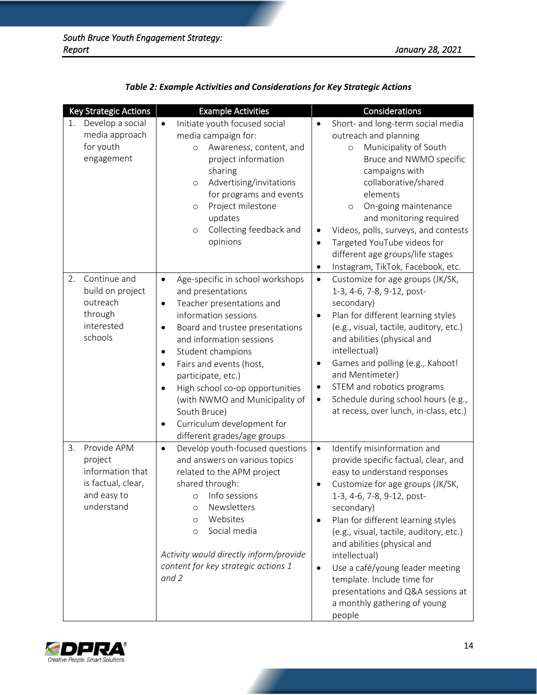<span id="page-15-0"></span>

| Key Strategic Actions                                                                               | <b>Example Activities</b>                                                                                                                                                                                                                                                                                                                                                                                                                                                            | Considerations                                                                                                                                                                                                                                                                                                                                                                                                                                                                                                           |
|-----------------------------------------------------------------------------------------------------|--------------------------------------------------------------------------------------------------------------------------------------------------------------------------------------------------------------------------------------------------------------------------------------------------------------------------------------------------------------------------------------------------------------------------------------------------------------------------------------|--------------------------------------------------------------------------------------------------------------------------------------------------------------------------------------------------------------------------------------------------------------------------------------------------------------------------------------------------------------------------------------------------------------------------------------------------------------------------------------------------------------------------|
| Develop a social<br>1.<br>media approach<br>for youth<br>engagement                                 | Initiate youth focused social<br>$\bullet$<br>media campaign for:<br>Awareness, content, and<br>$\circ$<br>project information<br>sharing<br>Advertising/invitations<br>$\circ$<br>for programs and events<br>Project milestone<br>$\circ$<br>updates<br>Collecting feedback and<br>$\circ$<br>opinions                                                                                                                                                                              | Short- and long-term social media<br>$\bullet$<br>outreach and planning<br>Municipality of South<br>$\circ$<br>Bruce and NWMO specific<br>campaigns with<br>collaborative/shared<br>elements<br>On-going maintenance<br>$\circ$<br>and monitoring required<br>Videos, polls, surveys, and contests<br>$\bullet$<br>Targeted YouTube videos for<br>$\bullet$<br>different age groups/life stages<br>Instagram, TikTok, Facebook, etc.<br>$\bullet$                                                                        |
| 2.<br>Continue and<br>build on project<br>outreach<br>through<br>interested<br>schools              | Age-specific in school workshops<br>$\bullet$<br>and presentations<br>Teacher presentations and<br>$\bullet$<br>information sessions<br>Board and trustee presentations<br>$\bullet$<br>and information sessions<br>Student champions<br>٠<br>Fairs and events (host,<br>$\bullet$<br>participate, etc.)<br>High school co-op opportunities<br>$\bullet$<br>(with NWMO and Municipality of<br>South Bruce)<br>Curriculum development for<br>$\bullet$<br>different grades/age groups | Customize for age groups (JK/SK,<br>$\bullet$<br>1-3, 4-6, 7-8, 9-12, post-<br>secondary)<br>Plan for different learning styles<br>$\bullet$<br>(e.g., visual, tactile, auditory, etc.)<br>and abilities (physical and<br>intellectual)<br>Games and polling (e.g., Kahoot!<br>$\bullet$<br>and Mentimeter)<br>STEM and robotics programs<br>$\bullet$<br>Schedule during school hours (e.g.,<br>$\bullet$<br>at recess, over lunch, in-class, etc.)                                                                     |
| Provide APM<br>3.<br>project<br>information that<br>is factual, clear,<br>and easy to<br>understand | Develop youth-focused questions<br>$\bullet$<br>and answers on various topics<br>related to the APM project<br>shared through:<br>Info sessions<br>$\circ$<br>Newsletters<br>$\circ$<br>Websites<br>$\circ$<br>Social media<br>$\circ$<br>Activity would directly inform/provide<br>content for key strategic actions 1<br>and 2                                                                                                                                                     | Identify misinformation and<br>$\bullet$<br>provide specific factual, clear, and<br>easy to understand responses<br>Customize for age groups (JK/SK,<br>$\bullet$<br>1-3, 4-6, 7-8, 9-12, post-<br>secondary)<br>Plan for different learning styles<br>$\bullet$<br>(e.g., visual, tactile, auditory, etc.)<br>and abilities (physical and<br>intellectual)<br>Use a café/young leader meeting<br>$\bullet$<br>template. Include time for<br>presentations and Q&A sessions at<br>a monthly gathering of young<br>people |

|  | Table 2: Example Activities and Considerations for Key Strategic Actions |
|--|--------------------------------------------------------------------------|
|--|--------------------------------------------------------------------------|

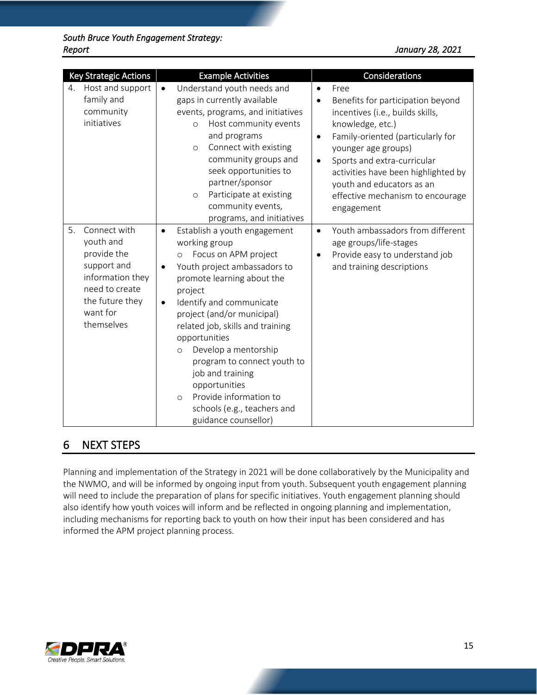|    | <b>Key Strategic Actions</b>                                                                                                               |                                     | <b>Example Activities</b>                                                                                                                                                                                                                                                                                                                                                                                                                                                   |                                     | Considerations                                                                                                                                                                                                                                                                                                     |
|----|--------------------------------------------------------------------------------------------------------------------------------------------|-------------------------------------|-----------------------------------------------------------------------------------------------------------------------------------------------------------------------------------------------------------------------------------------------------------------------------------------------------------------------------------------------------------------------------------------------------------------------------------------------------------------------------|-------------------------------------|--------------------------------------------------------------------------------------------------------------------------------------------------------------------------------------------------------------------------------------------------------------------------------------------------------------------|
| 4. | Host and support<br>family and<br>community<br>initiatives                                                                                 | $\bullet$                           | Understand youth needs and<br>gaps in currently available<br>events, programs, and initiatives<br>Host community events<br>O<br>and programs<br>Connect with existing<br>$\circ$<br>community groups and<br>seek opportunities to<br>partner/sponsor<br>Participate at existing<br>$\circ$<br>community events,<br>programs, and initiatives                                                                                                                                | $\bullet$<br>$\bullet$<br>$\bullet$ | Free<br>Benefits for participation beyond<br>incentives (i.e., builds skills,<br>knowledge, etc.)<br>Family-oriented (particularly for<br>younger age groups)<br>Sports and extra-curricular<br>activities have been highlighted by<br>youth and educators as an<br>effective mechanism to encourage<br>engagement |
| 5. | Connect with<br>youth and<br>provide the<br>support and<br>information they<br>need to create<br>the future they<br>want for<br>themselves | $\bullet$<br>$\bullet$<br>$\bullet$ | Establish a youth engagement<br>working group<br>Focus on APM project<br>$\circ$<br>Youth project ambassadors to<br>promote learning about the<br>project<br>Identify and communicate<br>project (and/or municipal)<br>related job, skills and training<br>opportunities<br>Develop a mentorship<br>$\circ$<br>program to connect youth to<br>job and training<br>opportunities<br>Provide information to<br>$\circ$<br>schools (e.g., teachers and<br>guidance counsellor) | $\bullet$<br>٠                      | Youth ambassadors from different<br>age groups/life-stages<br>Provide easy to understand job<br>and training descriptions                                                                                                                                                                                          |

# 6 NEXT STEPS

Planning and implementation of the Strategy in 2021 will be done collaboratively by the Municipality and the NWMO, and will be informed by ongoing input from youth. Subsequent youth engagement planning will need to include the preparation of plans for specific initiatives. Youth engagement planning should also identify how youth voices will inform and be reflected in ongoing planning and implementation, including mechanisms for reporting back to youth on how their input has been considered and has informed the APM project planning process.